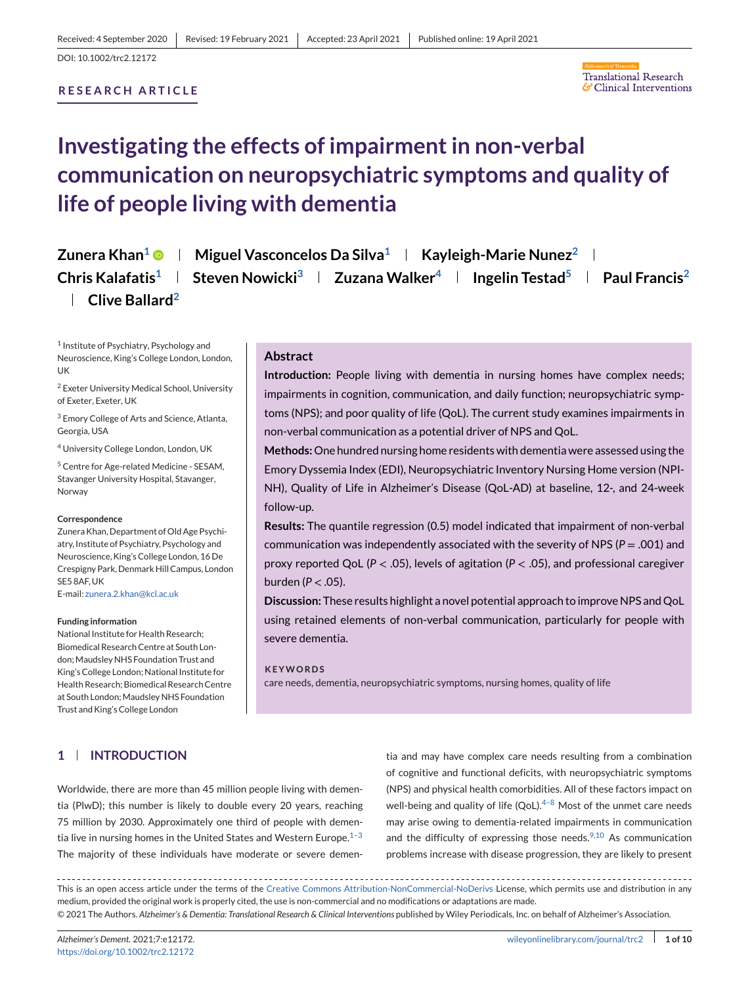# <span id="page-0-0"></span>**RESEARCH ARTICLE**



# **Investigating the effects of impairment in non-verbal communication on neuropsychiatric symptoms and quality of life of people living with dementia**

# **Zunera Khan<sup>1</sup> • | Miguel Vasconcelos Da Silva<sup>1</sup> | Kayleigh-Marie Nunez<sup>2</sup> | Chris Kalafatis1 Steven Nowicki3 Zuzana Walker4 Ingelin Testad5 Paul Francis2 Clive Ballard2**

<sup>1</sup> Institute of Psychiatry, Psychology and Neuroscience, King's College London, London, UK

<sup>2</sup> Exeter University Medical School, University of Exeter, Exeter, UK

<sup>3</sup> Emory College of Arts and Science, Atlanta, Georgia, USA

<sup>4</sup> University College London, London, UK

<sup>5</sup> Centre for Age-related Medicine - SESAM, Stavanger University Hospital, Stavanger, Norway

#### **Correspondence**

Zunera Khan, Department of Old Age Psychiatry, Institute of Psychiatry, Psychology and Neuroscience, King's College London, 16 De Crespigny Park, Denmark Hill Campus, London SE5 8AF, UK E-mail: [zunera.2.khan@kcl.ac.uk](mailto:zunera.2.khan@kcl.ac.uk)

**Funding information**

National Institute for Health Research; Biomedical Research Centre at South London; Maudsley NHS Foundation Trust and King's College London; National Institute for Health Research; Biomedical Research Centre at South London: Maudsley NHS Foundation Trust and King's College London

# **Abstract**

**Introduction:** People living with dementia in nursing homes have complex needs; impairments in cognition, communication, and daily function; neuropsychiatric symptoms (NPS); and poor quality of life (QoL). The current study examines impairments in non-verbal communication as a potential driver of NPS and QoL.

**Methods:**One hundred nursing home residents with dementia were assessed using the Emory Dyssemia Index (EDI), Neuropsychiatric Inventory Nursing Home version (NPI-NH), Quality of Life in Alzheimer's Disease (QoL-AD) at baseline, 12-, and 24-week follow-up.

**Results:** The quantile regression (0.5) model indicated that impairment of non-verbal communication was independently associated with the severity of NPS (*P* = .001) and proxy reported QoL (*P* < .05), levels of agitation (*P* < .05), and professional caregiver burden (*P* < .05).

**Discussion:** These results highlight a novel potential approach to improve NPS and QoL using retained elements of non-verbal communication, particularly for people with severe dementia.

# **KEYWORDS**

care needs, dementia, neuropsychiatric symptoms, nursing homes, quality of life

# **1 INTRODUCTION**

Worldwide, there are more than 45 million people living with dementia (PlwD); this number is likely to double every 20 years, reaching 75 million by 2030. Approximately one third of people with dementia live in nursing homes in the United States and Western Europe. $1-3$ The majority of these individuals have moderate or severe demen-

tia and may have complex care needs resulting from a combination of cognitive and functional deficits, with neuropsychiatric symptoms (NPS) and physical health comorbidities. All of these factors impact on well-being and quality of life  $(QoL).<sup>4-8</sup>$  Most of the unmet care needs may arise owing to dementia-related impairments in communication and the difficulty of expressing those needs. $9,10$  As communication problems increase with disease progression, they are likely to present

This is an open access article under the terms of the [Creative Commons Attribution-NonCommercial-NoDerivs](http://creativecommons.org/licenses/by-nc-nd/4.0/) License, which permits use and distribution in any medium, provided the original work is properly cited, the use is non-commercial and no modifications or adaptations are made. © 2021 The Authors. *Alzheimer's & Dementia: Translational Research & Clinical Interventions* published by Wiley Periodicals, Inc. on behalf of Alzheimer's Association.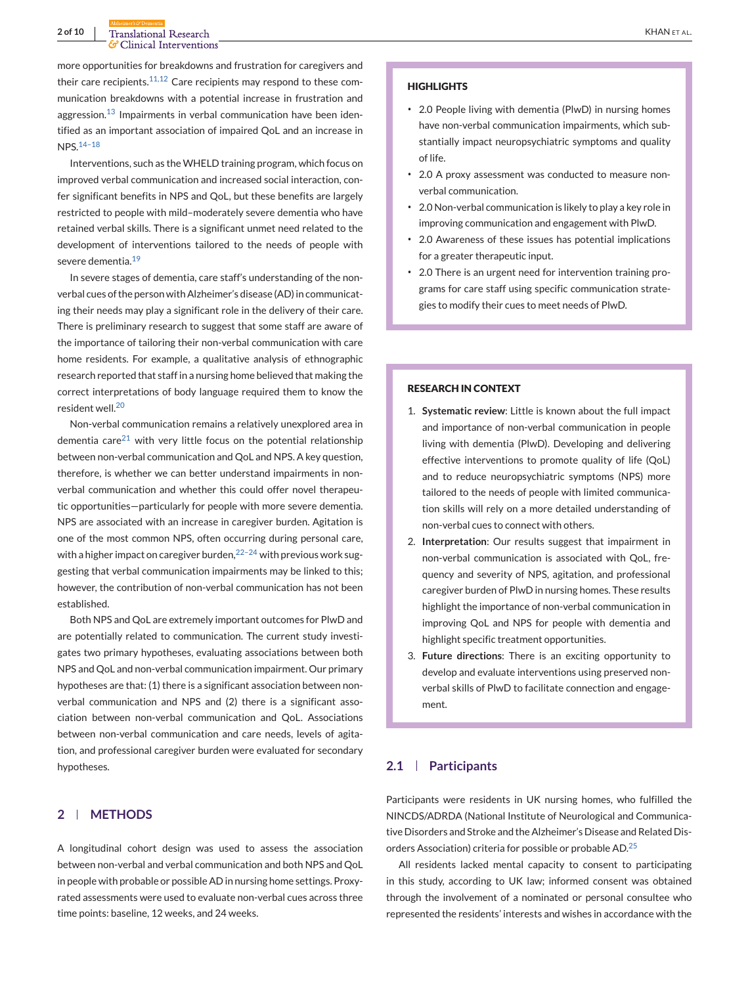more opportunities for breakdowns and frustration for caregivers and their care recipients. $11,12$  Care recipients may respond to these communication breakdowns with a potential increase in frustration and aggression. $13$  Impairments in verbal communication have been identified as an important association of impaired QoL and an increase in NPS.[14–18](#page-7-0)

Interventions, such as the WHELD training program, which focus on improved verbal communication and increased social interaction, confer significant benefits in NPS and QoL, but these benefits are largely restricted to people with mild–moderately severe dementia who have retained verbal skills. There is a significant unmet need related to the development of interventions tailored to the needs of people with severe dementia.<sup>[19](#page-8-0)</sup>

In severe stages of dementia, care staff's understanding of the nonverbal cues of the person with Alzheimer's disease (AD) in communicating their needs may play a significant role in the delivery of their care. There is preliminary research to suggest that some staff are aware of the importance of tailoring their non-verbal communication with care home residents. For example, a qualitative analysis of ethnographic research reported that staff in a nursing home believed that making the correct interpretations of body language required them to know the resident well.<sup>[20](#page-8-0)</sup>

Non-verbal communication remains a relatively unexplored area in dementia care<sup>[21](#page-8-0)</sup> with very little focus on the potential relationship between non-verbal communication and QoL and NPS. A key question, therefore, is whether we can better understand impairments in nonverbal communication and whether this could offer novel therapeutic opportunities—particularly for people with more severe dementia. NPS are associated with an increase in caregiver burden. Agitation is one of the most common NPS, often occurring during personal care, with a higher impact on caregiver burden, $22-24$  with previous work suggesting that verbal communication impairments may be linked to this; however, the contribution of non-verbal communication has not been established.

Both NPS and QoL are extremely important outcomes for PlwD and are potentially related to communication. The current study investigates two primary hypotheses, evaluating associations between both NPS and QoL and non-verbal communication impairment. Our primary hypotheses are that: (1) there is a significant association between nonverbal communication and NPS and (2) there is a significant association between non-verbal communication and QoL. Associations between non-verbal communication and care needs, levels of agitation, and professional caregiver burden were evaluated for secondary hypotheses.

# **2 METHODS**

A longitudinal cohort design was used to assess the association between non-verbal and verbal communication and both NPS and QoL in people with probable or possible AD in nursing home settings. Proxyrated assessments were used to evaluate non-verbal cues across three time points: baseline, 12 weeks, and 24 weeks.

#### **HIGHLIGHTS**

- ∙ 2.0 People living with dementia (PlwD) in nursing homes have non-verbal communication impairments, which substantially impact neuropsychiatric symptoms and quality of life.
- ∙ 2.0 A proxy assessment was conducted to measure nonverbal communication.
- ∙ 2.0 Non-verbal communication is likely to play a key role in improving communication and engagement with PlwD.
- ∙ 2.0 Awareness of these issues has potential implications for a greater therapeutic input.
- ∙ 2.0 There is an urgent need for intervention training programs for care staff using specific communication strategies to modify their cues to meet needs of PlwD.

# **RESEARCH IN CONTEXT**

- 1. **Systematic review**: Little is known about the full impact and importance of non-verbal communication in people living with dementia (PlwD). Developing and delivering effective interventions to promote quality of life (QoL) and to reduce neuropsychiatric symptoms (NPS) more tailored to the needs of people with limited communication skills will rely on a more detailed understanding of non-verbal cues to connect with others.
- 2. **Interpretation**: Our results suggest that impairment in non-verbal communication is associated with QoL, frequency and severity of NPS, agitation, and professional caregiver burden of PlwD in nursing homes. These results highlight the importance of non-verbal communication in improving QoL and NPS for people with dementia and highlight specific treatment opportunities.
- 3. **Future directions**: There is an exciting opportunity to develop and evaluate interventions using preserved nonverbal skills of PlwD to facilitate connection and engagement.

# **2.1 Participants**

Participants were residents in UK nursing homes, who fulfilled the NINCDS/ADRDA (National Institute of Neurological and Communicative Disorders and Stroke and the Alzheimer's Disease and Related Disorders Association) criteria for possible or probable AD.[25](#page-8-0)

All residents lacked mental capacity to consent to participating in this study, according to UK law; informed consent was obtained through the involvement of a nominated or personal consultee who represented the residents' interests and wishes in accordance with the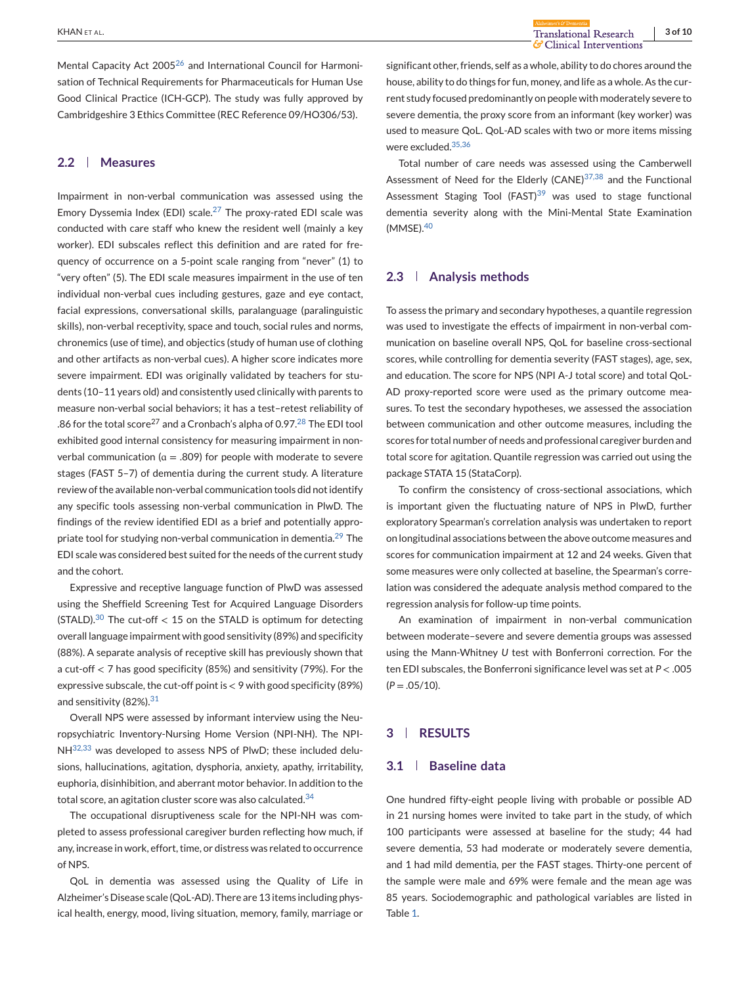Mental Capacity Act 2005<sup>[26](#page-8-0)</sup> and International Council for Harmonisation of Technical Requirements for Pharmaceuticals for Human Use Good Clinical Practice (ICH-GCP). The study was fully approved by Cambridgeshire 3 Ethics Committee (REC Reference 09/HO306/53).

# **2.2 Measures**

Impairment in non-verbal communication was assessed using the Emory Dyssemia Index (EDI) scale.<sup>[27](#page-8-0)</sup> The proxy-rated EDI scale was conducted with care staff who knew the resident well (mainly a key worker). EDI subscales reflect this definition and are rated for frequency of occurrence on a 5-point scale ranging from "never" (1) to "very often" (5). The EDI scale measures impairment in the use of ten individual non-verbal cues including gestures, gaze and eye contact, facial expressions, conversational skills, paralanguage (paralinguistic skills), non-verbal receptivity, space and touch, social rules and norms, chronemics (use of time), and objectics (study of human use of clothing and other artifacts as non-verbal cues). A higher score indicates more severe impairment. EDI was originally validated by teachers for students (10–11 years old) and consistently used clinically with parents to measure non-verbal social behaviors; it has a test–retest reliability of .86 for the total score<sup>27</sup> and a Cronbach's alpha of 0.97.<sup>[28](#page-8-0)</sup> The EDI tool exhibited good internal consistency for measuring impairment in nonverbal communication ( $a = .809$ ) for people with moderate to severe stages (FAST 5–7) of dementia during the current study. A literature review of the available non-verbal communication tools did not identify any specific tools assessing non-verbal communication in PlwD. The findings of the review identified EDI as a brief and potentially appro-priate tool for studying non-verbal communication in dementia.<sup>[29](#page-8-0)</sup> The EDI scale was considered best suited for the needs of the current study and the cohort.

Expressive and receptive language function of PlwD was assessed using the Sheffield Screening Test for Acquired Language Disorders (STALD). $30$  The cut-off < 15 on the STALD is optimum for detecting overall language impairment with good sensitivity (89%) and specificity (88%). A separate analysis of receptive skill has previously shown that a cut-off < 7 has good specificity (85%) and sensitivity (79%). For the expressive subscale, the cut-off point is  $< 9$  with good specificity (89%) and sensitivity (82%).<sup>[31](#page-8-0)</sup>

Overall NPS were assessed by informant interview using the Neuropsychiatric Inventory-Nursing Home Version (NPI-NH). The NPI-NH<sup>32,33</sup> was developed to assess NPS of PlwD; these included delusions, hallucinations, agitation, dysphoria, anxiety, apathy, irritability, euphoria, disinhibition, and aberrant motor behavior. In addition to the total score, an agitation cluster score was also calculated.<sup>[34](#page-8-0)</sup>

The occupational disruptiveness scale for the NPI-NH was completed to assess professional caregiver burden reflecting how much, if any, increase in work, effort, time, or distress was related to occurrence of NPS.

QoL in dementia was assessed using the Quality of Life in Alzheimer's Disease scale (QoL-AD). There are 13 items including physical health, energy, mood, living situation, memory, family, marriage or

significant other, friends, self as a whole, ability to do chores around the house, ability to do things for fun, money, and life as a whole. As the current study focused predominantly on people with moderately severe to severe dementia, the proxy score from an informant (key worker) was used to measure QoL. QoL-AD scales with two or more items missing were excluded.[35,36](#page-8-0)

Total number of care needs was assessed using the Camberwell Assessment of Need for the Elderly (CANE) $37,38$  and the Functional Assessment Staging Tool (FAST) $39$  was used to stage functional dementia severity along with the Mini-Mental State Examination (MMSE)[.40](#page-8-0)

# **2.3 Analysis methods**

To assess the primary and secondary hypotheses, a quantile regression was used to investigate the effects of impairment in non-verbal communication on baseline overall NPS, QoL for baseline cross-sectional scores, while controlling for dementia severity (FAST stages), age, sex, and education. The score for NPS (NPI A-J total score) and total QoL-AD proxy-reported score were used as the primary outcome measures. To test the secondary hypotheses, we assessed the association between communication and other outcome measures, including the scores for total number of needs and professional caregiver burden and total score for agitation. Quantile regression was carried out using the package STATA 15 (StataCorp).

To confirm the consistency of cross-sectional associations, which is important given the fluctuating nature of NPS in PlwD, further exploratory Spearman's correlation analysis was undertaken to report on longitudinal associations between the above outcome measures and scores for communication impairment at 12 and 24 weeks. Given that some measures were only collected at baseline, the Spearman's correlation was considered the adequate analysis method compared to the regression analysis for follow-up time points.

An examination of impairment in non-verbal communication between moderate–severe and severe dementia groups was assessed using the Mann-Whitney *U* test with Bonferroni correction. For the ten EDI subscales, the Bonferroni significance level was set at *P* < .005  $(P=.05/10)$ .

# **3 RESULTS**

#### **3.1 Baseline data**

One hundred fifty-eight people living with probable or possible AD in 21 nursing homes were invited to take part in the study, of which 100 participants were assessed at baseline for the study; 44 had severe dementia, 53 had moderate or moderately severe dementia, and 1 had mild dementia, per the FAST stages. Thirty-one percent of the sample were male and 69% were female and the mean age was 85 years. Sociodemographic and pathological variables are listed in Table [1.](#page-3-0)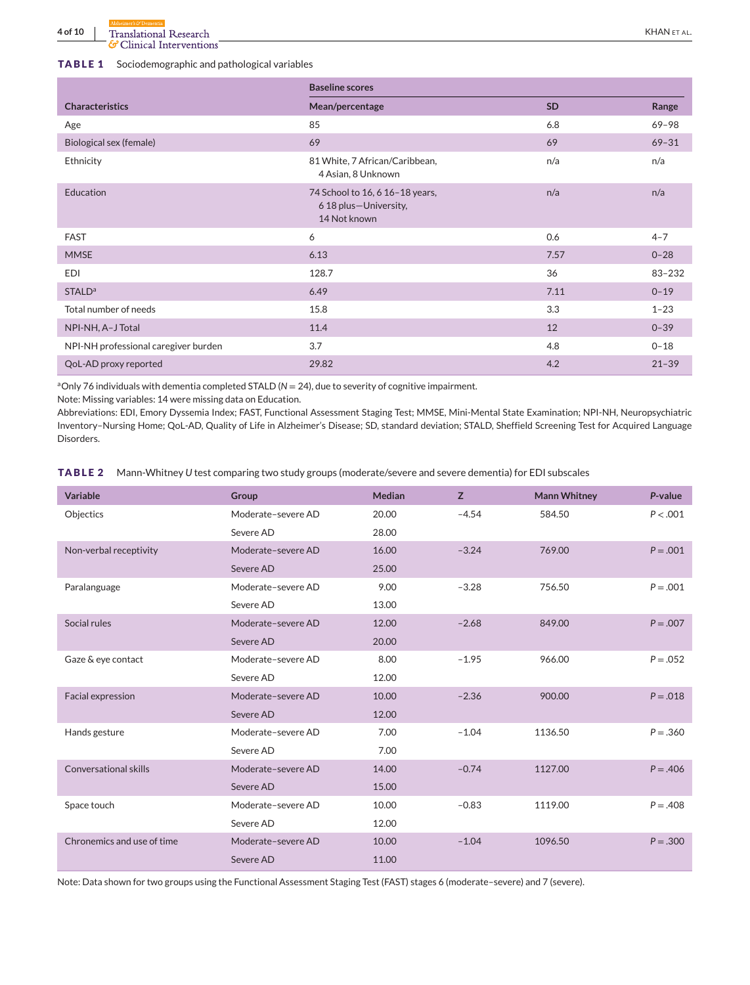#### <span id="page-3-0"></span>**TABLE 1** Sociodemographic and pathological variables

|                                      | <b>Baseline scores</b>                                                   |           |           |  |
|--------------------------------------|--------------------------------------------------------------------------|-----------|-----------|--|
| <b>Characteristics</b>               | Mean/percentage                                                          | <b>SD</b> | Range     |  |
| Age                                  | 85                                                                       | 6.8       | 69-98     |  |
| Biological sex (female)              | 69                                                                       | 69        | $69 - 31$ |  |
| Ethnicity                            | 81 White, 7 African/Caribbean,<br>4 Asian, 8 Unknown                     | n/a       | n/a       |  |
| <b>Education</b>                     | 74 School to 16, 6 16-18 years,<br>6 18 plus-University,<br>14 Not known | n/a       | n/a       |  |
| <b>FAST</b>                          | 6                                                                        | 0.6       | $4 - 7$   |  |
| <b>MMSE</b>                          | 6.13                                                                     | 7.57      | $0 - 28$  |  |
| <b>EDI</b>                           | 128.7                                                                    | 36        | 83-232    |  |
| <b>STALD<sup>a</sup></b>             | 6.49                                                                     | 7.11      | $0 - 19$  |  |
| Total number of needs                | 15.8                                                                     | 3.3       | $1 - 23$  |  |
| NPI-NH, A-J Total                    | 11.4                                                                     | 12        | $0 - 39$  |  |
| NPI-NH professional caregiver burden | 3.7                                                                      | 4.8       | $0 - 18$  |  |
| QoL-AD proxy reported                | 29.82                                                                    | 4.2       | $21 - 39$ |  |

<sup>a</sup>Only 76 individuals with dementia completed STALD ( $N = 24$ ), due to severity of cognitive impairment.

Note: Missing variables: 14 were missing data on Education.

Abbreviations: EDI, Emory Dyssemia Index; FAST, Functional Assessment Staging Test; MMSE, Mini-Mental State Examination; NPI-NH, Neuropsychiatric Inventory–Nursing Home; QoL-AD, Quality of Life in Alzheimer's Disease; SD, standard deviation; STALD, Sheffield Screening Test for Acquired Language Disorders.

**TABLE 2** Mann-Whitney *U* test comparing two study groups (moderate/severe and severe dementia) for EDI subscales

| <b>Variable</b>              | Group              | Median | Z       | <b>Mann Whitney</b> | P-value     |
|------------------------------|--------------------|--------|---------|---------------------|-------------|
| Objectics                    | Moderate-severe AD | 20.00  | $-4.54$ | 584.50              | P < .001    |
|                              | Severe AD          | 28.00  |         |                     |             |
| Non-verbal receptivity       | Moderate-severe AD | 16.00  | $-3.24$ | 769.00              | $P = .001$  |
|                              | Severe AD          | 25.00  |         |                     |             |
| Paralanguage                 | Moderate-severe AD | 9.00   | $-3.28$ | 756.50              | $P = .001$  |
|                              | Severe AD          | 13.00  |         |                     |             |
| Social rules                 | Moderate-severe AD | 12.00  | $-2.68$ | 849.00              | $P = .007$  |
|                              | Severe AD          | 20.00  |         |                     |             |
| Gaze & eye contact           | Moderate-severe AD | 8.00   | $-1.95$ | 966.00              | $P = .052$  |
|                              | Severe AD          | 12.00  |         |                     |             |
| Facial expression            | Moderate-severe AD | 10.00  | $-2.36$ | 900.00              | $P = .018$  |
|                              | Severe AD          | 12.00  |         |                     |             |
| Hands gesture                | Moderate-severe AD | 7.00   | $-1.04$ | 1136.50             | $P = .360$  |
|                              | Severe AD          | 7.00   |         |                     |             |
| <b>Conversational skills</b> | Moderate-severe AD | 14.00  | $-0.74$ | 1127.00             | $P = 0.406$ |
|                              | Severe AD          | 15.00  |         |                     |             |
| Space touch                  | Moderate-severe AD | 10.00  | $-0.83$ | 1119.00             | $P = .408$  |
|                              | Severe AD          | 12.00  |         |                     |             |
| Chronemics and use of time   | Moderate-severe AD | 10.00  | $-1.04$ | 1096.50             | $P = .300$  |
|                              | Severe AD          | 11.00  |         |                     |             |

Note: Data shown for two groups using the Functional Assessment Staging Test (FAST) stages 6 (moderate–severe) and 7 (severe).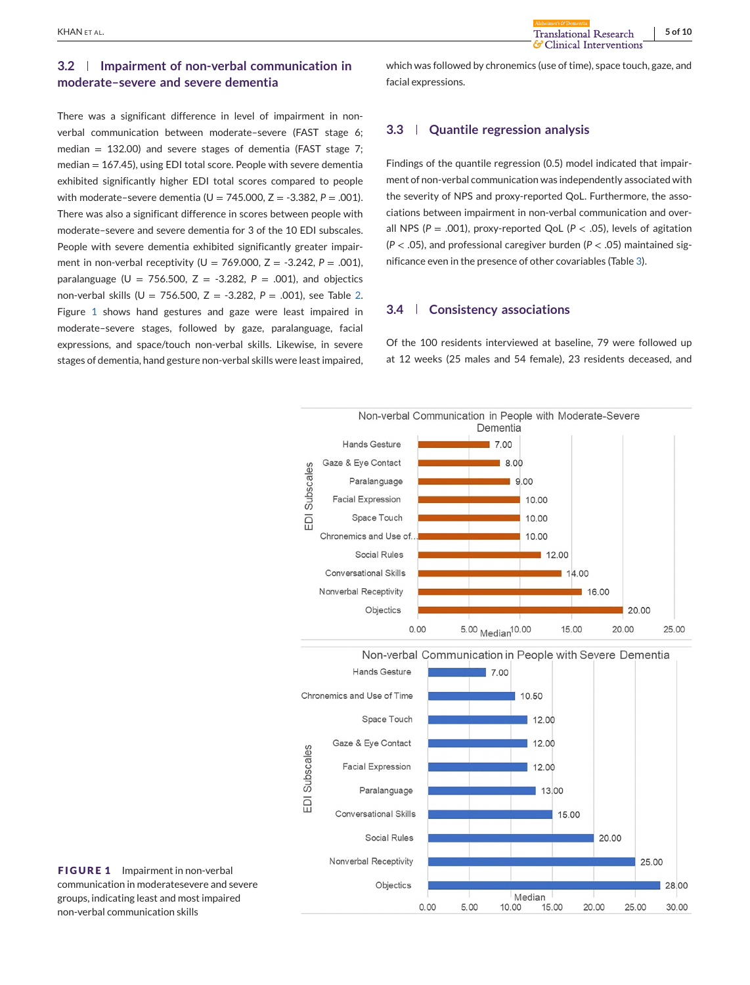# **3.2 Impairment of non-verbal communication in moderate–severe and severe dementia**

There was a significant difference in level of impairment in nonverbal communication between moderate–severe (FAST stage 6; median  $= 132.00$ ) and severe stages of dementia (FAST stage 7; median = 167.45), using EDI total score. People with severe dementia exhibited significantly higher EDI total scores compared to people with moderate–severe dementia  $(U = 745.000, Z = -3.382, P = .001)$ . There was also a significant difference in scores between people with moderate–severe and severe dementia for 3 of the 10 EDI subscales. People with severe dementia exhibited significantly greater impairment in non-verbal receptivity (U = 769.000, Z = -3.242, *P* = .001), paralanguage ( $U = 756.500$ ,  $Z = -3.282$ ,  $P = .001$ ), and objectics non-verbal skills (U = 756.500, Z = -3.282, *P* = .001), see Table [2.](#page-3-0) Figure 1 shows hand gestures and gaze were least impaired in moderate–severe stages, followed by gaze, paralanguage, facial expressions, and space/touch non-verbal skills. Likewise, in severe stages of dementia, hand gesture non-verbal skills were least impaired,

which was followed by chronemics (use of time), space touch, gaze, and facial expressions.

# **3.3 Quantile regression analysis**

Findings of the quantile regression (0.5) model indicated that impairment of non-verbal communication was independently associated with the severity of NPS and proxy-reported QoL. Furthermore, the associations between impairment in non-verbal communication and overall NPS ( $P = .001$ ), proxy-reported QoL ( $P < .05$ ), levels of agitation (*P* < .05), and professional caregiver burden (*P* < .05) maintained significance even in the presence of other covariables (Table [3\)](#page-5-0).

# **3.4 Consistency associations**

Of the 100 residents interviewed at baseline, 79 were followed up at 12 weeks (25 males and 54 female), 23 residents deceased, and



**FIGURE 1** Impairment in non-verbal communication in moderatesevere and severe groups, indicating least and most impaired non-verbal communication skills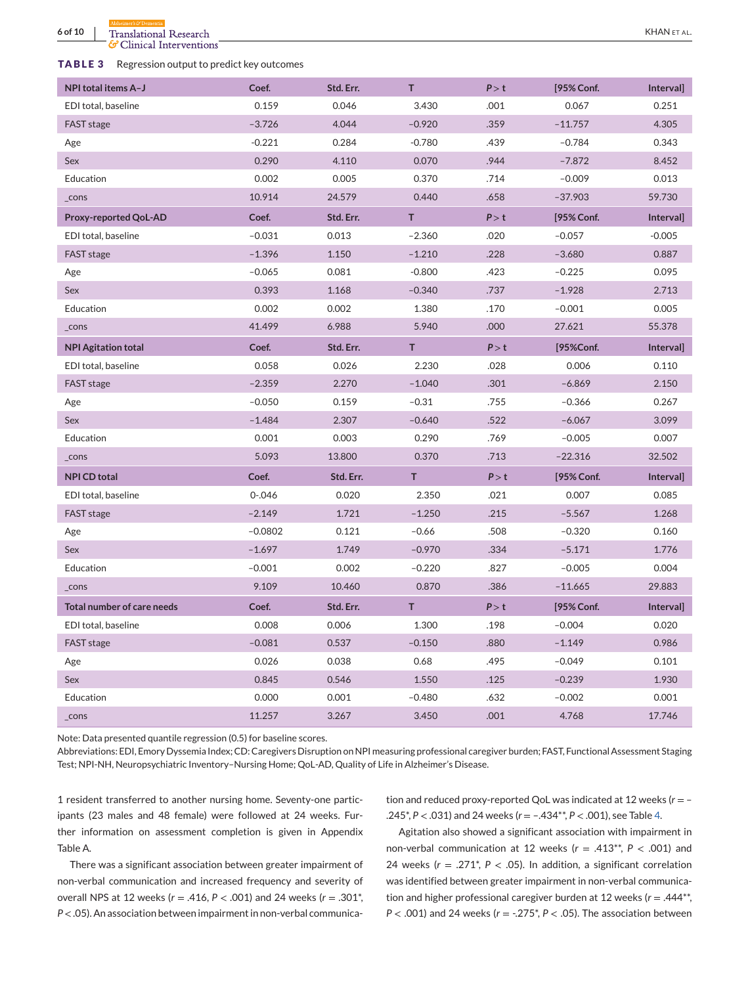G Clinical Interventions

# <span id="page-5-0"></span>**TABLE 3** Regression output to predict key outcomes

| NPI total items A-J               | Coef.     | Std. Err. | T.       | P > t | [95% Conf. | Interval] |
|-----------------------------------|-----------|-----------|----------|-------|------------|-----------|
| EDI total, baseline               | 0.159     | 0.046     | 3.430    | .001  | 0.067      | 0.251     |
| FAST stage                        | $-3.726$  | 4.044     | $-0.920$ | .359  | $-11.757$  | 4.305     |
| Age                               | $-0.221$  | 0.284     | $-0.780$ | .439  | $-0.784$   | 0.343     |
| Sex                               | 0.290     | 4.110     | 0.070    | .944  | $-7.872$   | 8.452     |
| Education                         | 0.002     | 0.005     | 0.370    | .714  | $-0.009$   | 0.013     |
| _cons                             | 10.914    | 24.579    | 0.440    | .658  | $-37.903$  | 59.730    |
| Proxy-reported QoL-AD             | Coef.     | Std. Err. | T        | P > t | [95% Conf. | Interval] |
| EDI total, baseline               | $-0.031$  | 0.013     | $-2.360$ | .020  | $-0.057$   | $-0.005$  |
| <b>FAST</b> stage                 | $-1.396$  | 1.150     | $-1.210$ | .228  | $-3.680$   | 0.887     |
| Age                               | $-0.065$  | 0.081     | $-0.800$ | .423  | $-0.225$   | 0.095     |
| Sex                               | 0.393     | 1.168     | $-0.340$ | .737  | $-1.928$   | 2.713     |
| Education                         | 0.002     | 0.002     | 1.380    | .170  | $-0.001$   | 0.005     |
| _cons                             | 41.499    | 6.988     | 5.940    | .000  | 27.621     | 55.378    |
| <b>NPI Agitation total</b>        | Coef.     | Std. Err. | T        | P > t | [95%Conf.  | Interval] |
| EDI total, baseline               | 0.058     | 0.026     | 2.230    | .028  | 0.006      | 0.110     |
| FAST stage                        | $-2.359$  | 2.270     | $-1.040$ | .301  | $-6.869$   | 2.150     |
| Age                               | $-0.050$  | 0.159     | $-0.31$  | .755  | $-0.366$   | 0.267     |
| <b>Sex</b>                        | $-1.484$  | 2.307     | $-0.640$ | .522  | $-6.067$   | 3.099     |
| Education                         | 0.001     | 0.003     | 0.290    | .769  | $-0.005$   | 0.007     |
| _cons                             | 5.093     | 13.800    | 0.370    | .713  | $-22.316$  | 32.502    |
| <b>NPI CD total</b>               | Coef.     | Std. Err. | T.       | P > t | [95% Conf. | Interval] |
| EDI total, baseline               | $0 - 046$ | 0.020     | 2.350    | .021  | 0.007      | 0.085     |
| FAST stage                        | $-2.149$  | 1.721     | $-1.250$ | .215  | $-5.567$   | 1.268     |
| Age                               | $-0.0802$ | 0.121     | $-0.66$  | .508  | $-0.320$   | 0.160     |
| Sex                               | $-1.697$  | 1.749     | $-0.970$ | .334  | $-5.171$   | 1.776     |
| Education                         | $-0.001$  | 0.002     | $-0.220$ | .827  | $-0.005$   | 0.004     |
| $_{\text{-cons}}$                 | 9.109     | 10.460    | 0.870    | .386  | $-11.665$  | 29.883    |
| <b>Total number of care needs</b> | Coef.     | Std. Err. | T        | P > t | [95% Conf. | Interval] |
| EDI total, baseline               | 0.008     | 0.006     | 1.300    | .198  | $-0.004$   | 0.020     |
| FAST stage                        | $-0.081$  | 0.537     | $-0.150$ | .880  | $-1.149$   | 0.986     |
| Age                               | 0.026     | 0.038     | 0.68     | .495  | $-0.049$   | 0.101     |
| <b>Sex</b>                        | 0.845     | 0.546     | 1.550    | .125  | $-0.239$   | 1.930     |
| Education                         | 0.000     | 0.001     | $-0.480$ | .632  | $-0.002$   | 0.001     |
| _cons                             | 11.257    | 3.267     | 3.450    | .001  | 4.768      | 17.746    |

Note: Data presented quantile regression (0.5) for baseline scores.

Abbreviations: EDI, Emory Dyssemia Index; CD: Caregivers Disruption on NPI measuring professional caregiver burden; FAST, Functional Assessment Staging Test; NPI-NH, Neuropsychiatric Inventory–Nursing Home; QoL-AD, Quality of Life in Alzheimer's Disease.

1 resident transferred to another nursing home. Seventy-one participants (23 males and 48 female) were followed at 24 weeks. Further information on assessment completion is given in Appendix Table A.

There was a significant association between greater impairment of non-verbal communication and increased frequency and severity of overall NPS at 12 weeks (*r* = .416, *P* < .001) and 24 weeks (*r* = .301\*, *P* < .05). An association between impairment in non-verbal communication and reduced proxy-reported QoL was indicated at 12 weeks (*r* = – .245\*, *P* < .031) and 24 weeks (*r* = –.434\*\*, *P* < .001), see Table [4.](#page-6-0)

Agitation also showed a significant association with impairment in non-verbal communication at 12 weeks (*r* = .413\*\*, *P* < .001) and 24 weeks (*r* = .271\*, *P* < .05). In addition, a significant correlation was identified between greater impairment in non-verbal communication and higher professional caregiver burden at 12 weeks (*r* = .444\*\*, *P* < .001) and 24 weeks (*r* = -.275\*, *P* < .05). The association between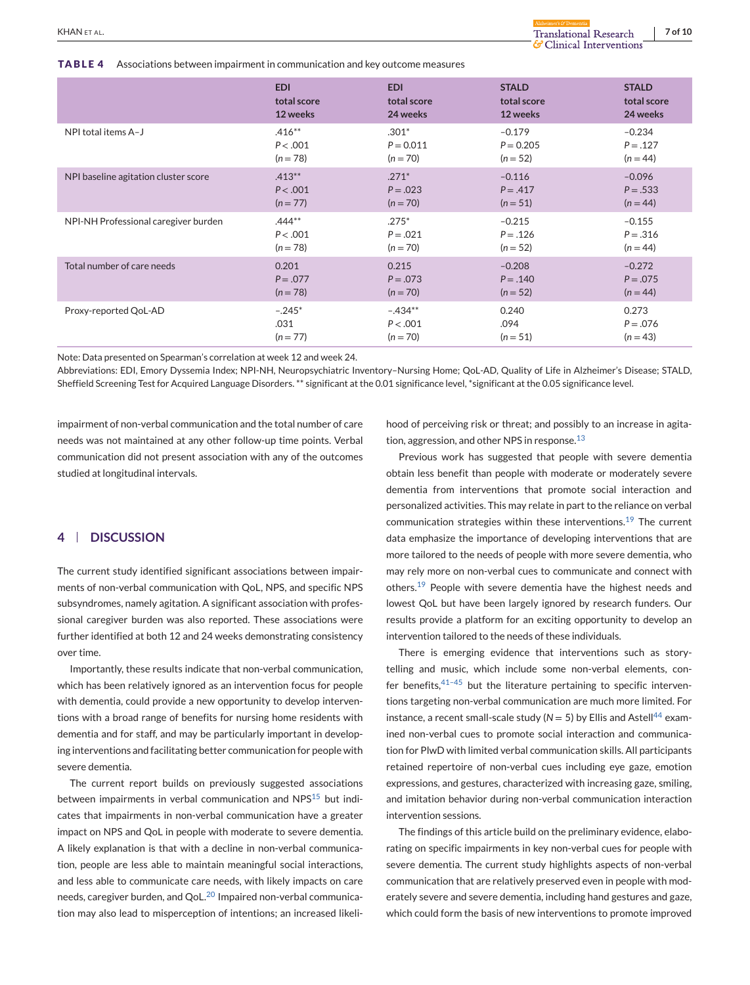<span id="page-6-0"></span>**TABLE 4** Associations between impairment in communication and key outcome measures

| waxarxii  |  |
|-----------|--|
|           |  |
| rventions |  |

|                                      | <b>EDI</b>  | <b>EDI</b>  | <b>STALD</b> | <b>STALD</b> |
|--------------------------------------|-------------|-------------|--------------|--------------|
|                                      | total score | total score | total score  | total score  |
|                                      | 12 weeks    | 24 weeks    | 12 weeks     | 24 weeks     |
| NPI total items A-J                  | $.416**$    | $.301*$     | $-0.179$     | $-0.234$     |
|                                      | P < .001    | $P = 0.011$ | $P = 0.205$  | $P = .127$   |
|                                      | $(n = 78)$  | $(n = 70)$  | $(n = 52)$   | $(n = 44)$   |
| NPI baseline agitation cluster score | $.413**$    | $.271*$     | $-0.116$     | $-0.096$     |
|                                      | P < .001    | $P = .023$  | $P = .417$   | $P = .533$   |
|                                      | $(n = 77)$  | $(n = 70)$  | $(n = 51)$   | $(n = 44)$   |
| NPI-NH Professional caregiver burden | $.444**$    | $.275*$     | $-0.215$     | $-0.155$     |
|                                      | P < .001    | $P = .021$  | $P = .126$   | $P = .316$   |
|                                      | $(n = 78)$  | $(n = 70)$  | $(n = 52)$   | $(n = 44)$   |
| Total number of care needs           | 0.201       | 0.215       | $-0.208$     | $-0.272$     |
|                                      | $P = .077$  | $P = .073$  | $P = .140$   | $P = .075$   |
|                                      | $(n = 78)$  | $(n = 70)$  | $(n = 52)$   | $(n = 44)$   |
| Proxy-reported QoL-AD                | $-.245*$    | $-.434**$   | 0.240        | 0.273        |
|                                      | .031        | P < .001    | .094         | $P = .076$   |
|                                      | $(n = 77)$  | $(n = 70)$  | $(n = 51)$   | $(n = 43)$   |

Note: Data presented on Spearman's correlation at week 12 and week 24.

Abbreviations: EDI, Emory Dyssemia Index; NPI-NH, Neuropsychiatric Inventory–Nursing Home; QoL-AD, Quality of Life in Alzheimer's Disease; STALD, Sheffield Screening Test for Acquired Language Disorders. \*\* significant at the 0.01 significance level, \*significant at the 0.05 significance level.

impairment of non-verbal communication and the total number of care needs was not maintained at any other follow-up time points. Verbal communication did not present association with any of the outcomes studied at longitudinal intervals.

# **4 DISCUSSION**

The current study identified significant associations between impairments of non-verbal communication with QoL, NPS, and specific NPS subsyndromes, namely agitation. A significant association with professional caregiver burden was also reported. These associations were further identified at both 12 and 24 weeks demonstrating consistency over time.

Importantly, these results indicate that non-verbal communication, which has been relatively ignored as an intervention focus for people with dementia, could provide a new opportunity to develop interventions with a broad range of benefits for nursing home residents with dementia and for staff, and may be particularly important in developing interventions and facilitating better communication for people with severe dementia.

The current report builds on previously suggested associations between impairments in verbal communication and NPS<sup>[15](#page-8-0)</sup> but indicates that impairments in non-verbal communication have a greater impact on NPS and QoL in people with moderate to severe dementia. A likely explanation is that with a decline in non-verbal communication, people are less able to maintain meaningful social interactions, and less able to communicate care needs, with likely impacts on care needs, caregiver burden, and QoL.<sup>[20](#page-8-0)</sup> Impaired non-verbal communication may also lead to misperception of intentions; an increased likelihood of perceiving risk or threat; and possibly to an increase in agitation, aggression, and other NPS in response. $13$ 

Previous work has suggested that people with severe dementia obtain less benefit than people with moderate or moderately severe dementia from interventions that promote social interaction and personalized activities. This may relate in part to the reliance on verbal communication strategies within these interventions.[19](#page-8-0) The current data emphasize the importance of developing interventions that are more tailored to the needs of people with more severe dementia, who may rely more on non-verbal cues to communicate and connect with others.[19](#page-8-0) People with severe dementia have the highest needs and lowest QoL but have been largely ignored by research funders. Our results provide a platform for an exciting opportunity to develop an intervention tailored to the needs of these individuals.

There is emerging evidence that interventions such as storytelling and music, which include some non-verbal elements, confer benefits, $41-45$  but the literature pertaining to specific interventions targeting non-verbal communication are much more limited. For instance, a recent small-scale study ( $N = 5$ ) by Ellis and Astell<sup>[44](#page-8-0)</sup> examined non-verbal cues to promote social interaction and communication for PlwD with limited verbal communication skills. All participants retained repertoire of non-verbal cues including eye gaze, emotion expressions, and gestures, characterized with increasing gaze, smiling, and imitation behavior during non-verbal communication interaction intervention sessions.

The findings of this article build on the preliminary evidence, elaborating on specific impairments in key non-verbal cues for people with severe dementia. The current study highlights aspects of non-verbal communication that are relatively preserved even in people with moderately severe and severe dementia, including hand gestures and gaze, which could form the basis of new interventions to promote improved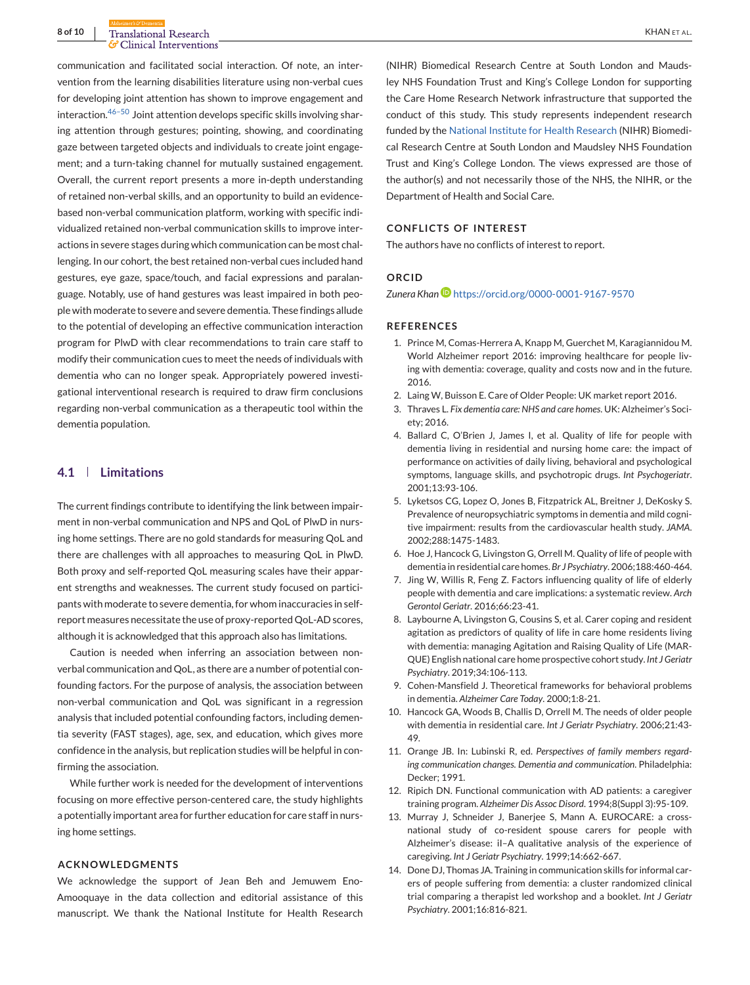<span id="page-7-0"></span>communication and facilitated social interaction. Of note, an intervention from the learning disabilities literature using non-verbal cues for developing joint attention has shown to improve engagement and interaction. $46-50$  Joint attention develops specific skills involving sharing attention through gestures; pointing, showing, and coordinating gaze between targeted objects and individuals to create joint engagement; and a turn-taking channel for mutually sustained engagement. Overall, the current report presents a more in-depth understanding of retained non-verbal skills, and an opportunity to build an evidencebased non-verbal communication platform, working with specific individualized retained non-verbal communication skills to improve interactions in severe stages during which communication can be most challenging. In our cohort, the best retained non-verbal cues included hand gestures, eye gaze, space/touch, and facial expressions and paralanguage. Notably, use of hand gestures was least impaired in both people with moderate to severe and severe dementia. These findings allude to the potential of developing an effective communication interaction program for PlwD with clear recommendations to train care staff to modify their communication cues to meet the needs of individuals with dementia who can no longer speak. Appropriately powered investigational interventional research is required to draw firm conclusions regarding non-verbal communication as a therapeutic tool within the dementia population.

# **4.1 Limitations**

The current findings contribute to identifying the link between impairment in non-verbal communication and NPS and QoL of PlwD in nursing home settings. There are no gold standards for measuring QoL and there are challenges with all approaches to measuring QoL in PlwD. Both proxy and self-reported QoL measuring scales have their apparent strengths and weaknesses. The current study focused on participants with moderate to severe dementia, for whom inaccuracies in selfreport measures necessitate the use of proxy-reported QoL-AD scores, although it is acknowledged that this approach also has limitations.

Caution is needed when inferring an association between nonverbal communication and QoL, as there are a number of potential confounding factors. For the purpose of analysis, the association between non-verbal communication and QoL was significant in a regression analysis that included potential confounding factors, including dementia severity (FAST stages), age, sex, and education, which gives more confidence in the analysis, but replication studies will be helpful in confirming the association.

While further work is needed for the development of interventions focusing on more effective person-centered care, the study highlights a potentially important area for further education for care staff in nursing home settings.

# **ACKNOWLEDGMENTS**

We acknowledge the support of Jean Beh and Jemuwem Eno-Amooquaye in the data collection and editorial assistance of this manuscript. We thank the National Institute for Health Research (NIHR) Biomedical Research Centre at South London and Maudsley NHS Foundation Trust and King's College London for supporting the Care Home Research Network infrastructure that supported the conduct of this study. This study represents independent research funded by the [National Institute for Health Research](#page-0-0) (NIHR) Biomedical Research Centre at South London and Maudsley NHS Foundation Trust and King's College London. The views expressed are those of the author(s) and not necessarily those of the NHS, the NIHR, or the Department of Health and Social Care.

# **CONFLICTS OF INTEREST**

The authors have no conflicts of interest to report.

#### **ORCID**

*Zunera Khan* <https://orcid.org/0000-0001-9167-9570>

#### **REFERENCES**

- 1. Prince M, Comas-Herrera A, Knapp M, Guerchet M, Karagiannidou M. World Alzheimer report 2016: improving healthcare for people living with dementia: coverage, quality and costs now and in the future. 2016.
- 2. Laing W, Buisson E. Care of Older People: UK market report 2016.
- 3. Thraves L. *Fix dementia care: NHS and care homes*. UK: Alzheimer's Society; 2016.
- 4. Ballard C, O'Brien J, James I, et al. Quality of life for people with dementia living in residential and nursing home care: the impact of performance on activities of daily living, behavioral and psychological symptoms, language skills, and psychotropic drugs. *Int Psychogeriatr*. 2001;13:93-106.
- 5. Lyketsos CG, Lopez O, Jones B, Fitzpatrick AL, Breitner J, DeKosky S. Prevalence of neuropsychiatric symptoms in dementia and mild cognitive impairment: results from the cardiovascular health study. *JAMA*. 2002;288:1475-1483.
- 6. Hoe J, Hancock G, Livingston G, Orrell M. Quality of life of people with dementia in residential care homes. *Br J Psychiatry*. 2006;188:460-464.
- 7. Jing W, Willis R, Feng Z. Factors influencing quality of life of elderly people with dementia and care implications: a systematic review. *Arch Gerontol Geriatr*. 2016;66:23-41.
- 8. Laybourne A, Livingston G, Cousins S, et al. Carer coping and resident agitation as predictors of quality of life in care home residents living with dementia: managing Agitation and Raising Quality of Life (MAR-QUE) English national care home prospective cohort study. *Int J Geriatr Psychiatry*. 2019;34:106-113.
- 9. Cohen-Mansfield J. Theoretical frameworks for behavioral problems in dementia. *Alzheimer Care Today*. 2000;1:8-21.
- 10. Hancock GA, Woods B, Challis D, Orrell M. The needs of older people with dementia in residential care. *Int J Geriatr Psychiatry*. 2006;21:43- 49.
- 11. Orange JB. In: Lubinski R, ed. *Perspectives of family members regarding communication changes. Dementia and communication*. Philadelphia: Decker; 1991.
- 12. Ripich DN. Functional communication with AD patients: a caregiver training program. *Alzheimer Dis Assoc Disord*. 1994;8(Suppl 3):95-109.
- 13. Murray J, Schneider J, Banerjee S, Mann A. EUROCARE: a crossnational study of co-resident spouse carers for people with Alzheimer's disease: iI–A qualitative analysis of the experience of caregiving. *Int J Geriatr Psychiatry*. 1999;14:662-667.
- 14. Done DJ, Thomas JA. Training in communication skills for informal carers of people suffering from dementia: a cluster randomized clinical trial comparing a therapist led workshop and a booklet. *Int J Geriatr Psychiatry*. 2001;16:816-821.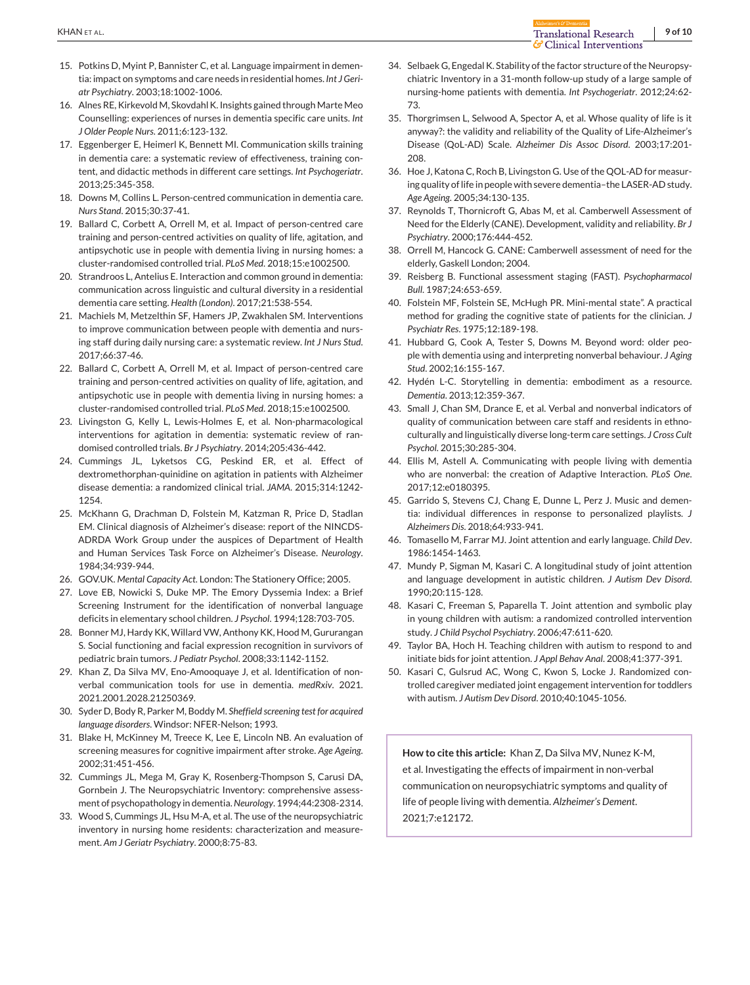- <span id="page-8-0"></span>15. Potkins D, Myint P, Bannister C, et al. Language impairment in dementia: impact on symptoms and care needs in residential homes. *Int J Geriatr Psychiatry*. 2003;18:1002-1006.
- 16. Alnes RE, Kirkevold M, Skovdahl K. Insights gained through Marte Meo Counselling: experiences of nurses in dementia specific care units. *Int J Older People Nurs*. 2011;6:123-132.
- 17. Eggenberger E, Heimerl K, Bennett MI. Communication skills training in dementia care: a systematic review of effectiveness, training content, and didactic methods in different care settings. *Int Psychogeriatr*. 2013;25:345-358.
- 18. Downs M, Collins L. Person-centred communication in dementia care. *Nurs Stand*. 2015;30:37-41.
- 19. Ballard C, Corbett A, Orrell M, et al. Impact of person-centred care training and person-centred activities on quality of life, agitation, and antipsychotic use in people with dementia living in nursing homes: a cluster-randomised controlled trial. *PLoS Med*. 2018;15:e1002500.
- 20. Strandroos L, Antelius E. Interaction and common ground in dementia: communication across linguistic and cultural diversity in a residential dementia care setting. *Health (London)*. 2017;21:538-554.
- 21. Machiels M, Metzelthin SF, Hamers JP, Zwakhalen SM. Interventions to improve communication between people with dementia and nursing staff during daily nursing care: a systematic review. *Int J Nurs Stud*. 2017;66:37-46.
- 22. Ballard C, Corbett A, Orrell M, et al. Impact of person-centred care training and person-centred activities on quality of life, agitation, and antipsychotic use in people with dementia living in nursing homes: a cluster-randomised controlled trial. *PLoS Med*. 2018;15:e1002500.
- 23. Livingston G, Kelly L, Lewis-Holmes E, et al. Non-pharmacological interventions for agitation in dementia: systematic review of randomised controlled trials. *Br J Psychiatry*. 2014;205:436-442.
- 24. Cummings JL, Lyketsos CG, Peskind ER, et al. Effect of dextromethorphan-quinidine on agitation in patients with Alzheimer disease dementia: a randomized clinical trial. *JAMA*. 2015;314:1242- 1254.
- 25. McKhann G, Drachman D, Folstein M, Katzman R, Price D, Stadlan EM. Clinical diagnosis of Alzheimer's disease: report of the NINCDS-ADRDA Work Group under the auspices of Department of Health and Human Services Task Force on Alzheimer's Disease. *Neurology*. 1984;34:939-944.
- 26. GOV.UK. *Mental Capacity Act*. London: The Stationery Office; 2005.
- 27. Love EB, Nowicki S, Duke MP. The Emory Dyssemia Index: a Brief Screening Instrument for the identification of nonverbal language deficits in elementary school children. *J Psychol*. 1994;128:703-705.
- 28. Bonner MJ, Hardy KK, Willard VW, Anthony KK, Hood M, Gururangan S. Social functioning and facial expression recognition in survivors of pediatric brain tumors. *J Pediatr Psychol*. 2008;33:1142-1152.
- 29. Khan Z, Da Silva MV, Eno-Amooquaye J, et al. Identification of nonverbal communication tools for use in dementia. *medRxiv*. 2021. 2021.2001.2028.21250369.
- 30. Syder D, Body R, Parker M, Boddy M. *Sheffield screening test for acquired language disorders*. Windsor: NFER-Nelson; 1993.
- 31. Blake H, McKinney M, Treece K, Lee E, Lincoln NB. An evaluation of screening measures for cognitive impairment after stroke. *Age Ageing*. 2002;31:451-456.
- 32. Cummings JL, Mega M, Gray K, Rosenberg-Thompson S, Carusi DA, Gornbein J. The Neuropsychiatric Inventory: comprehensive assessment of psychopathology in dementia.*Neurology*. 1994;44:2308-2314.
- 33. Wood S, Cummings JL, Hsu M-A, et al. The use of the neuropsychiatric inventory in nursing home residents: characterization and measurement. *Am J Geriatr Psychiatry*. 2000;8:75-83.
- 34. Selbaek G, Engedal K. Stability of the factor structure of the Neuropsychiatric Inventory in a 31-month follow-up study of a large sample of nursing-home patients with dementia. *Int Psychogeriatr*. 2012;24:62- 73.
- 35. Thorgrimsen L, Selwood A, Spector A, et al. Whose quality of life is it anyway?: the validity and reliability of the Quality of Life-Alzheimer's Disease (QoL-AD) Scale. *Alzheimer Dis Assoc Disord*. 2003;17:201- 208.
- 36. Hoe J, Katona C, Roch B, Livingston G. Use of the QOL-AD for measuring quality of life in people with severe dementia–the LASER-AD study. *Age Ageing*. 2005;34:130-135.
- 37. Reynolds T, Thornicroft G, Abas M, et al. Camberwell Assessment of Need for the Elderly (CANE). Development, validity and reliability. *Br J Psychiatry*. 2000;176:444-452.
- 38. Orrell M, Hancock G. CANE: Camberwell assessment of need for the elderly, Gaskell London; 2004.
- 39. Reisberg B. Functional assessment staging (FAST). *Psychopharmacol Bull*. 1987;24:653-659.
- 40. Folstein MF, Folstein SE, McHugh PR. Mini-mental state". A practical method for grading the cognitive state of patients for the clinician. *J Psychiatr Res*. 1975;12:189-198.
- 41. Hubbard G, Cook A, Tester S, Downs M. Beyond word: older people with dementia using and interpreting nonverbal behaviour. *J Aging Stud*. 2002;16:155-167.
- 42. Hydén L-C. Storytelling in dementia: embodiment as a resource. *Dementia*. 2013;12:359-367.
- 43. Small J, Chan SM, Drance E, et al. Verbal and nonverbal indicators of quality of communication between care staff and residents in ethnoculturally and linguistically diverse long-term care settings. *J Cross Cult Psychol*. 2015;30:285-304.
- 44. Ellis M, Astell A. Communicating with people living with dementia who are nonverbal: the creation of Adaptive Interaction. *PLoS One*. 2017;12:e0180395.
- 45. Garrido S, Stevens CJ, Chang E, Dunne L, Perz J. Music and dementia: individual differences in response to personalized playlists. *J Alzheimers Dis*. 2018;64:933-941.
- 46. Tomasello M, Farrar MJ. Joint attention and early language. *Child Dev*. 1986:1454-1463.
- 47. Mundy P, Sigman M, Kasari C. A longitudinal study of joint attention and language development in autistic children. *J Autism Dev Disord*. 1990;20:115-128.
- 48. Kasari C, Freeman S, Paparella T. Joint attention and symbolic play in young children with autism: a randomized controlled intervention study. *J Child Psychol Psychiatry*. 2006;47:611-620.
- 49. Taylor BA, Hoch H. Teaching children with autism to respond to and initiate bids for joint attention. *J Appl Behav Anal*. 2008;41:377-391.
- 50. Kasari C, Gulsrud AC, Wong C, Kwon S, Locke J. Randomized controlled caregiver mediated joint engagement intervention for toddlers with autism. *J Autism Dev Disord*. 2010;40:1045-1056.

**How to cite this article:** Khan Z, Da Silva MV, Nunez K-M, et al. Investigating the effects of impairment in non-verbal communication on neuropsychiatric symptoms and quality of life of people living with dementia. *Alzheimer's Dement*. 2021;7:e12172.